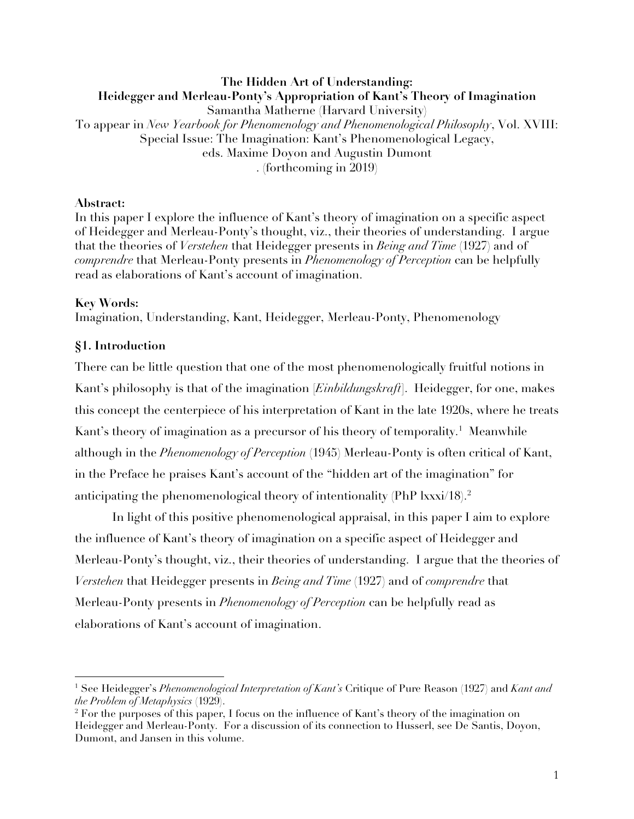# **The Hidden Art of Understanding: Heidegger and Merleau-Ponty's Appropriation of Kant's Theory of Imagination** Samantha Matherne (Harvard University) To appear in *New Yearbook for Phenomenology and Phenomenological Philosophy*, Vol. XVIII: Special Issue: The Imagination: Kant's Phenomenological Legacy, eds. Maxime Doyon and Augustin Dumont . (forthcoming in 2019)

## **Abstract:**

In this paper I explore the influence of Kant's theory of imagination on a specific aspect of Heidegger and Merleau-Ponty's thought, viz., their theories of understanding. I argue that the theories of *Verstehen* that Heidegger presents in *Being and Time* (1927) and of *comprendre* that Merleau-Ponty presents in *Phenomenology of Perception* can be helpfully read as elaborations of Kant's account of imagination.

## **Key Words:**

Imagination, Understanding, Kant, Heidegger, Merleau-Ponty, Phenomenology

# **§1. Introduction**

There can be little question that one of the most phenomenologically fruitful notions in Kant's philosophy is that of the imagination [*Einbildungskraft*]. Heidegger, for one, makes this concept the centerpiece of his interpretation of Kant in the late 1920s, where he treats Kant's theory of imagination as a precursor of his theory of temporality.<sup>1</sup> Meanwhile although in the *Phenomenology of Perception* (1945) Merleau-Ponty is often critical of Kant, in the Preface he praises Kant's account of the "hidden art of the imagination" for anticipating the phenomenological theory of intentionality (PhP lxxxi/18).2

In light of this positive phenomenological appraisal, in this paper I aim to explore the influence of Kant's theory of imagination on a specific aspect of Heidegger and Merleau-Ponty's thought, viz., their theories of understanding. I argue that the theories of *Verstehen* that Heidegger presents in *Being and Time* (1927) and of *comprendre* that Merleau-Ponty presents in *Phenomenology of Perception* can be helpfully read as elaborations of Kant's account of imagination.

<sup>&</sup>lt;u>.</u> <sup>1</sup> See Heidegger's *Phenomenological Interpretation of Kant's* Critique of Pure Reason (1927) and *Kant and* 

<sup>&</sup>lt;sup>2</sup> For the purposes of this paper, I focus on the influence of Kant's theory of the imagination on Heidegger and Merleau-Ponty. For a discussion of its connection to Husserl, see De Santis, Doyon, Dumont, and Jansen in this volume.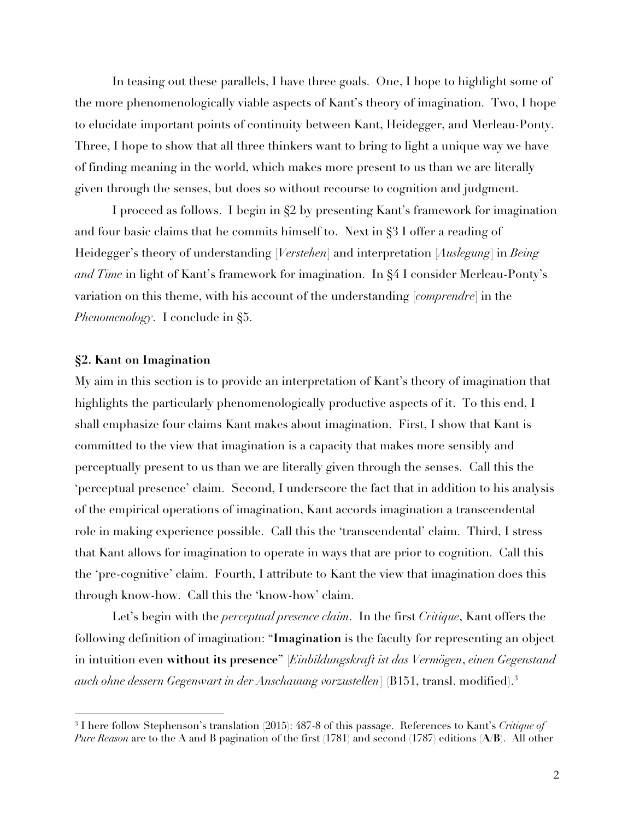In teasing out these parallels, I have three goals. One, I hope to highlight some of the more phenomenologically viable aspects of Kant's theory of imagination. Two, I hope to elucidate important points of continuity between Kant, Heidegger, and Merleau-Ponty. Three, I hope to show that all three thinkers want to bring to light a unique way we have of finding meaning in the world, which makes more present to us than we are literally given through the senses, but does so without recourse to cognition and judgment.

I proceed as follows. I begin in §2 by presenting Kant's framework for imagination and four basic claims that he commits himself to. Next in §3 I offer a reading of Heidegger's theory of understanding [*Verstehen*] and interpretation [*Auslegung*] in *Being and Time* in light of Kant's framework for imagination. In §4 I consider Merleau-Ponty's variation on this theme, with his account of the understanding [*comprendre*] in the *Phenomenology*. I conclude in §5.

### **§2. Kant on Imagination**

<u>.</u>

My aim in this section is to provide an interpretation of Kant's theory of imagination that highlights the particularly phenomenologically productive aspects of it. To this end, I shall emphasize four claims Kant makes about imagination. First, I show that Kant is committed to the view that imagination is a capacity that makes more sensibly and perceptually present to us than we are literally given through the senses. Call this the 'perceptual presence' claim. Second, I underscore the fact that in addition to his analysis of the empirical operations of imagination, Kant accords imagination a transcendental role in making experience possible. Call this the 'transcendental' claim. Third, I stress that Kant allows for imagination to operate in ways that are prior to cognition. Call this the 'pre-cognitive' claim. Fourth, I attribute to Kant the view that imagination does this through know-how. Call this the 'know-how' claim.

Let's begin with the *perceptual presence claim*. In the first *Critique*, Kant offers the following definition of imagination: "**Imagination** is the faculty for representing an object in intuition even **without its presence**" [*Einbildungskraft ist das Vermögen*, *einen Gegenstand auch ohne dessern Gegenwart in der Anschauung vorzustellen*] (B151, transl. modified).3

<sup>3</sup> I here follow Stephenson's translation (2015): 487-8 of this passage. References to Kant's *Critique of Pure Reason* are to the A and B pagination of the first (1781) and second (1787) editions (**A/B**). All other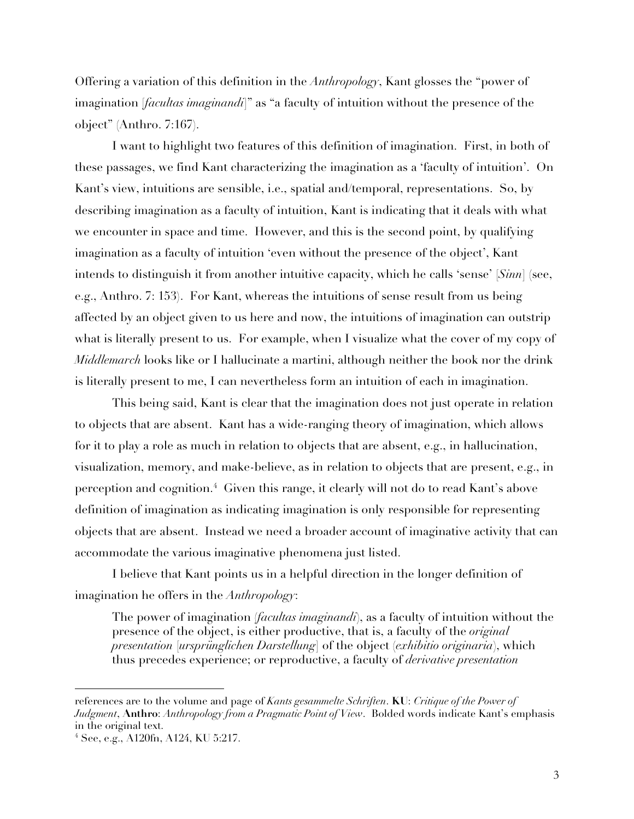Offering a variation of this definition in the *Anthropology*, Kant glosses the "power of imagination [*facultas imaginandi*]" as "a faculty of intuition without the presence of the object" (Anthro. 7:167).

I want to highlight two features of this definition of imagination. First, in both of these passages, we find Kant characterizing the imagination as a 'faculty of intuition'. On Kant's view, intuitions are sensible, i.e., spatial and/temporal, representations. So, by describing imagination as a faculty of intuition, Kant is indicating that it deals with what we encounter in space and time. However, and this is the second point, by qualifying imagination as a faculty of intuition 'even without the presence of the object', Kant intends to distinguish it from another intuitive capacity, which he calls 'sense' [*Sinn*] (see, e.g., Anthro. 7: 153). For Kant, whereas the intuitions of sense result from us being affected by an object given to us here and now, the intuitions of imagination can outstrip what is literally present to us. For example, when I visualize what the cover of my copy of *Middlemarch* looks like or I hallucinate a martini, although neither the book nor the drink is literally present to me, I can nevertheless form an intuition of each in imagination.

This being said, Kant is clear that the imagination does not just operate in relation to objects that are absent. Kant has a wide-ranging theory of imagination, which allows for it to play a role as much in relation to objects that are absent, e.g., in hallucination, visualization, memory, and make-believe, as in relation to objects that are present, e.g., in perception and cognition.4 Given this range, it clearly will not do to read Kant's above definition of imagination as indicating imagination is only responsible for representing objects that are absent. Instead we need a broader account of imaginative activity that can accommodate the various imaginative phenomena just listed.

I believe that Kant points us in a helpful direction in the longer definition of imagination he offers in the *Anthropology*:

The power of imagination (*facultas imaginandi*), as a faculty of intuition without the presence of the object, is either productive, that is, a faculty of the *original presentation* [*ursprünglichen Darstellung*] of the object (*exhibitio originaria*), which thus precedes experience; or reproductive, a faculty of *derivative presentation*

references are to the volume and page of *Kants gesammelte Schriften*. **KU**: *Critique of the Power of Judgment*, **Anthro**: *Anthropology from a Pragmatic Point of View*. Bolded words indicate Kant's emphasis in the original text.

<sup>4</sup> See, e.g., A120fn, A124, KU 5:217.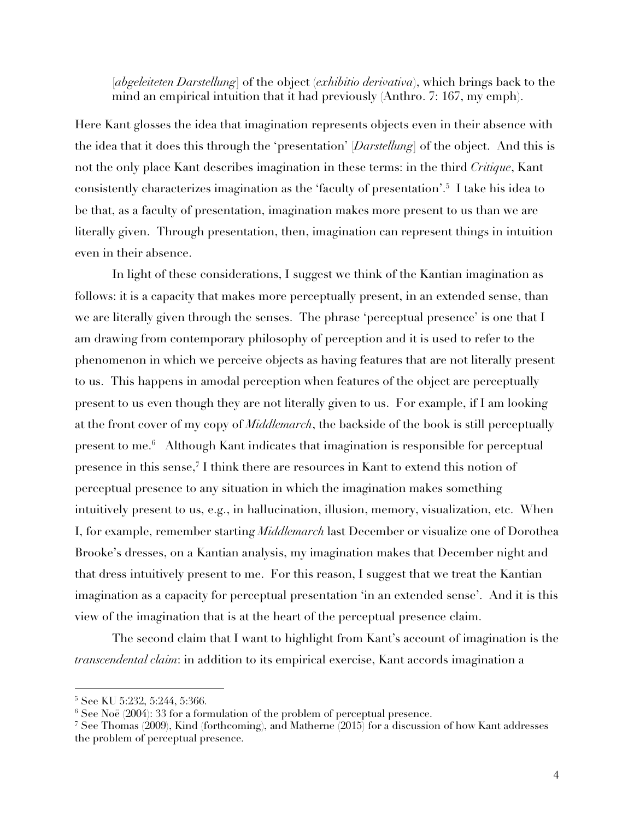[*abgeleiteten Darstellung*] of the object (*exhibitio derivativa*), which brings back to the mind an empirical intuition that it had previously (Anthro. 7: 167, my emph).

Here Kant glosses the idea that imagination represents objects even in their absence with the idea that it does this through the 'presentation' [*Darstellung*] of the object. And this is not the only place Kant describes imagination in these terms: in the third *Critique*, Kant consistently characterizes imagination as the 'faculty of presentation'.5 I take his idea to be that, as a faculty of presentation, imagination makes more present to us than we are literally given. Through presentation, then, imagination can represent things in intuition even in their absence.

In light of these considerations, I suggest we think of the Kantian imagination as follows: it is a capacity that makes more perceptually present, in an extended sense, than we are literally given through the senses. The phrase 'perceptual presence' is one that I am drawing from contemporary philosophy of perception and it is used to refer to the phenomenon in which we perceive objects as having features that are not literally present to us. This happens in amodal perception when features of the object are perceptually present to us even though they are not literally given to us. For example, if I am looking at the front cover of my copy of *Middlemarch*, the backside of the book is still perceptually present to me.<sup>6</sup> Although Kant indicates that imagination is responsible for perceptual presence in this sense,<sup>7</sup> I think there are resources in Kant to extend this notion of perceptual presence to any situation in which the imagination makes something intuitively present to us, e.g., in hallucination, illusion, memory, visualization, etc. When I, for example, remember starting *Middlemarch* last December or visualize one of Dorothea Brooke's dresses, on a Kantian analysis, my imagination makes that December night and that dress intuitively present to me. For this reason, I suggest that we treat the Kantian imagination as a capacity for perceptual presentation 'in an extended sense'. And it is this view of the imagination that is at the heart of the perceptual presence claim.

The second claim that I want to highlight from Kant's account of imagination is the *transcendental claim*: in addition to its empirical exercise, Kant accords imagination a

<sup>5</sup> See KU 5:232, 5:244, 5:366.

<sup>6</sup> See Noë (2004): 33 for a formulation of the problem of perceptual presence.

<sup>7</sup> See Thomas (2009), Kind (forthcoming), and Matherne (2015) for a discussion of how Kant addresses the problem of perceptual presence.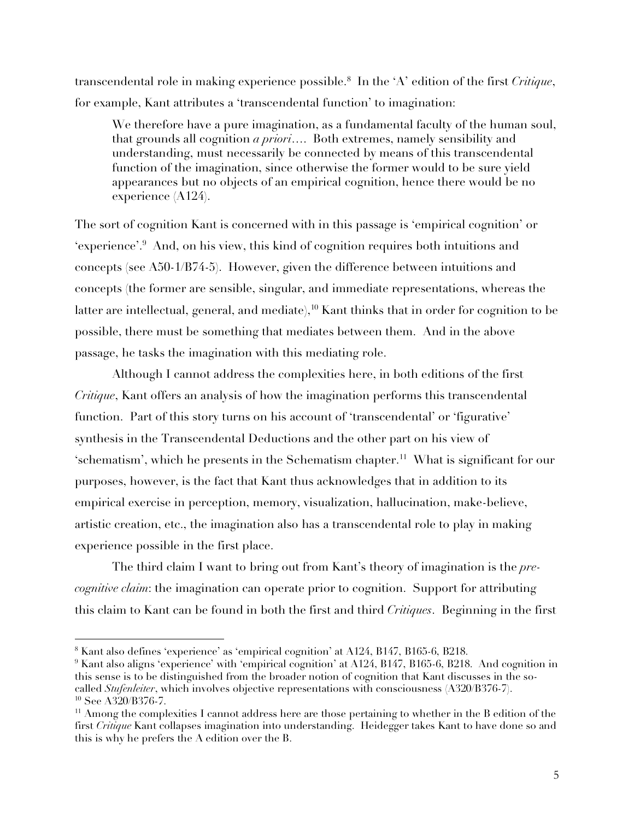transcendental role in making experience possible.8 In the 'A' edition of the first *Critique*, for example, Kant attributes a 'transcendental function' to imagination:

We therefore have a pure imagination, as a fundamental faculty of the human soul, that grounds all cognition *a priori*…. Both extremes, namely sensibility and understanding, must necessarily be connected by means of this transcendental function of the imagination, since otherwise the former would to be sure yield appearances but no objects of an empirical cognition, hence there would be no experience (A124).

The sort of cognition Kant is concerned with in this passage is 'empirical cognition' or 'experience'.9 And, on his view, this kind of cognition requires both intuitions and concepts (see A50-1/B74-5). However, given the difference between intuitions and concepts (the former are sensible, singular, and immediate representations, whereas the latter are intellectual, general, and mediate),<sup>10</sup> Kant thinks that in order for cognition to be possible, there must be something that mediates between them. And in the above passage, he tasks the imagination with this mediating role.

Although I cannot address the complexities here, in both editions of the first *Critique*, Kant offers an analysis of how the imagination performs this transcendental function. Part of this story turns on his account of 'transcendental' or 'figurative' synthesis in the Transcendental Deductions and the other part on his view of 'schematism', which he presents in the Schematism chapter.11 What is significant for our purposes, however, is the fact that Kant thus acknowledges that in addition to its empirical exercise in perception, memory, visualization, hallucination, make-believe, artistic creation, etc., the imagination also has a transcendental role to play in making experience possible in the first place.

The third claim I want to bring out from Kant's theory of imagination is the *precognitive claim*: the imagination can operate prior to cognition. Support for attributing this claim to Kant can be found in both the first and third *Critiques*. Beginning in the first

<sup>8</sup> Kant also defines 'experience' as 'empirical cognition' at A124, B147, B165-6, B218.

<sup>9</sup> Kant also aligns 'experience' with 'empirical cognition' at A124, B147, B165-6, B218. And cognition in this sense is to be distinguished from the broader notion of cognition that Kant discusses in the socalled *Stufenleiter*, which involves objective representations with consciousness (A320/B376-7).<br><sup>10</sup> See A320/B376-7.

 $11$  Among the complexities I cannot address here are those pertaining to whether in the B edition of the first *Critique* Kant collapses imagination into understanding. Heidegger takes Kant to have done so and this is why he prefers the A edition over the B.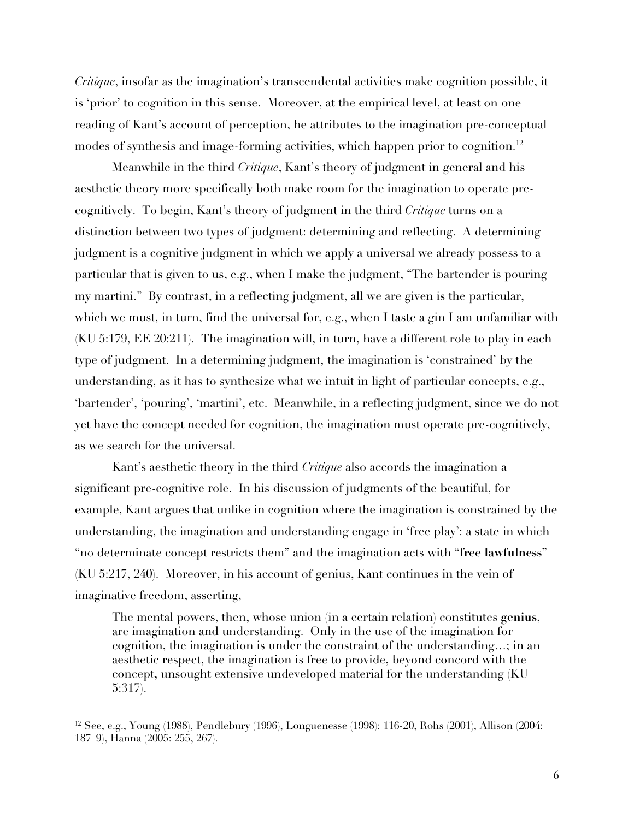*Critique*, insofar as the imagination's transcendental activities make cognition possible, it is 'prior' to cognition in this sense. Moreover, at the empirical level, at least on one reading of Kant's account of perception, he attributes to the imagination pre-conceptual modes of synthesis and image-forming activities, which happen prior to cognition.<sup>12</sup>

Meanwhile in the third *Critique*, Kant's theory of judgment in general and his aesthetic theory more specifically both make room for the imagination to operate precognitively. To begin, Kant's theory of judgment in the third *Critique* turns on a distinction between two types of judgment: determining and reflecting. A determining judgment is a cognitive judgment in which we apply a universal we already possess to a particular that is given to us, e.g., when I make the judgment, "The bartender is pouring my martini." By contrast, in a reflecting judgment, all we are given is the particular, which we must, in turn, find the universal for, e.g., when I taste a gin I am unfamiliar with (KU 5:179, EE 20:211). The imagination will, in turn, have a different role to play in each type of judgment. In a determining judgment, the imagination is 'constrained' by the understanding, as it has to synthesize what we intuit in light of particular concepts, e.g., 'bartender', 'pouring', 'martini', etc. Meanwhile, in a reflecting judgment, since we do not yet have the concept needed for cognition, the imagination must operate pre-cognitively, as we search for the universal.

Kant's aesthetic theory in the third *Critique* also accords the imagination a significant pre-cognitive role. In his discussion of judgments of the beautiful, for example, Kant argues that unlike in cognition where the imagination is constrained by the understanding, the imagination and understanding engage in 'free play': a state in which "no determinate concept restricts them" and the imagination acts with "**free lawfulness**" (KU 5:217, 240). Moreover, in his account of genius, Kant continues in the vein of imaginative freedom, asserting,

The mental powers, then, whose union (in a certain relation) constitutes **genius**, are imagination and understanding. Only in the use of the imagination for cognition, the imagination is under the constraint of the understanding…; in an aesthetic respect, the imagination is free to provide, beyond concord with the concept, unsought extensive undeveloped material for the understanding (KU 5:317).

<sup>12</sup> See, e.g., Young (1988), Pendlebury (1996), Longuenesse (1998): 116-20, Rohs (2001), Allison (2004: 187–9), Hanna (2005: 255, 267).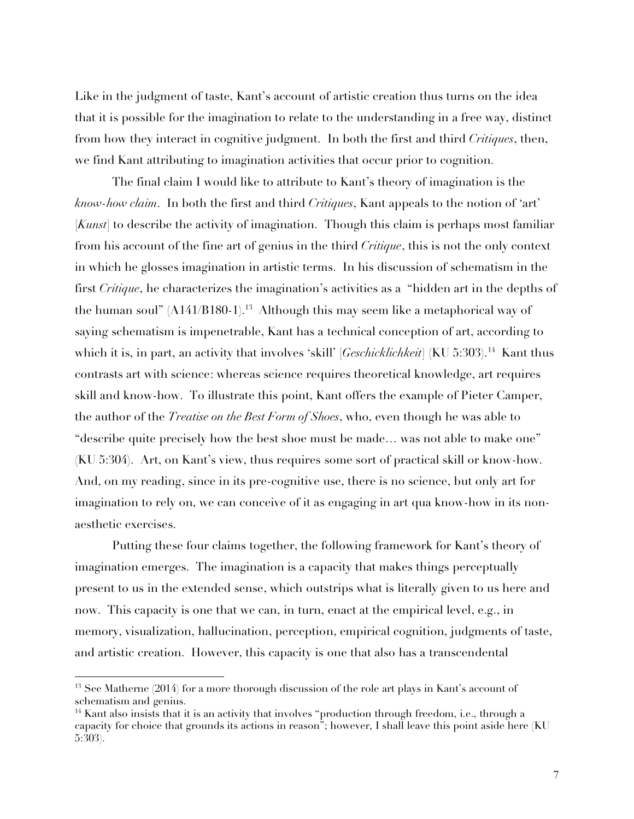Like in the judgment of taste, Kant's account of artistic creation thus turns on the idea that it is possible for the imagination to relate to the understanding in a free way, distinct from how they interact in cognitive judgment. In both the first and third *Critiques*, then, we find Kant attributing to imagination activities that occur prior to cognition.

The final claim I would like to attribute to Kant's theory of imagination is the *know-how claim*. In both the first and third *Critiques*, Kant appeals to the notion of 'art' [*Kunst*] to describe the activity of imagination. Though this claim is perhaps most familiar from his account of the fine art of genius in the third *Critique*, this is not the only context in which he glosses imagination in artistic terms. In his discussion of schematism in the first *Critique*, he characterizes the imagination's activities as a "hidden art in the depths of the human soul"  $(A141/B180-1)$ .<sup>13</sup> Although this may seem like a metaphorical way of saying schematism is impenetrable, Kant has a technical conception of art, according to which it is, in part, an activity that involves 'skill' [*Geschicklichkeit*] (KU 5:303).<sup>14</sup> Kant thus contrasts art with science: whereas science requires theoretical knowledge, art requires skill and know-how. To illustrate this point, Kant offers the example of Pieter Camper, the author of the *Treatise on the Best Form of Shoes*, who, even though he was able to "describe quite precisely how the best shoe must be made… was not able to make one" (KU 5:304). Art, on Kant's view, thus requires some sort of practical skill or know-how. And, on my reading, since in its pre-cognitive use, there is no science, but only art for imagination to rely on, we can conceive of it as engaging in art qua know-how in its nonaesthetic exercises.

Putting these four claims together, the following framework for Kant's theory of imagination emerges. The imagination is a capacity that makes things perceptually present to us in the extended sense, which outstrips what is literally given to us here and now. This capacity is one that we can, in turn, enact at the empirical level, e.g., in memory, visualization, hallucination, perception, empirical cognition, judgments of taste, and artistic creation. However, this capacity is one that also has a transcendental

<sup>&</sup>lt;sup>13</sup> See Matherne (2014) for a more thorough discussion of the role art plays in Kant's account of schematism and genius.

<sup>&</sup>lt;sup>14</sup> Kant also insists that it is an activity that involves "production through freedom, i.e., through a capacity for choice that grounds its actions in reason"; however, I shall leave this point aside here (KU 5:303).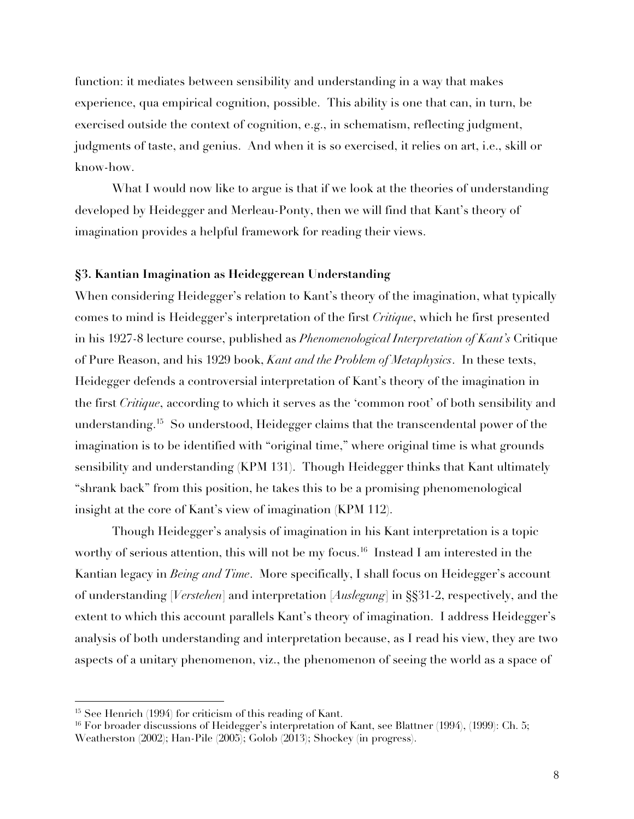function: it mediates between sensibility and understanding in a way that makes experience, qua empirical cognition, possible. This ability is one that can, in turn, be exercised outside the context of cognition, e.g., in schematism, reflecting judgment, judgments of taste, and genius. And when it is so exercised, it relies on art, i.e., skill or know-how.

What I would now like to argue is that if we look at the theories of understanding developed by Heidegger and Merleau-Ponty, then we will find that Kant's theory of imagination provides a helpful framework for reading their views.

## **§3. Kantian Imagination as Heideggerean Understanding**

When considering Heidegger's relation to Kant's theory of the imagination, what typically comes to mind is Heidegger's interpretation of the first *Critique*, which he first presented in his 1927-8 lecture course, published as *Phenomenological Interpretation of Kant's* Critique of Pure Reason, and his 1929 book, *Kant and the Problem of Metaphysics*. In these texts, Heidegger defends a controversial interpretation of Kant's theory of the imagination in the first *Critique*, according to which it serves as the 'common root' of both sensibility and understanding.15 So understood, Heidegger claims that the transcendental power of the imagination is to be identified with "original time," where original time is what grounds sensibility and understanding (KPM 131). Though Heidegger thinks that Kant ultimately "shrank back" from this position, he takes this to be a promising phenomenological insight at the core of Kant's view of imagination (KPM 112).

Though Heidegger's analysis of imagination in his Kant interpretation is a topic worthy of serious attention, this will not be my focus.<sup>16</sup> Instead I am interested in the Kantian legacy in *Being and Time*. More specifically, I shall focus on Heidegger's account of understanding [*Verstehen*] and interpretation [*Auslegung*] in §§31-2, respectively, and the extent to which this account parallels Kant's theory of imagination. I address Heidegger's analysis of both understanding and interpretation because, as I read his view, they are two aspects of a unitary phenomenon, viz., the phenomenon of seeing the world as a space of

<sup>&</sup>lt;sup>15</sup> See Henrich (1994) for criticism of this reading of Kant.<br><sup>16</sup> For broader discussions of Heidegger's interpretation of Kant, see Blattner (1994), (1999): Ch. 5; Weatherston (2002); Han-Pile (2005); Golob (2013); Shockey (in progress).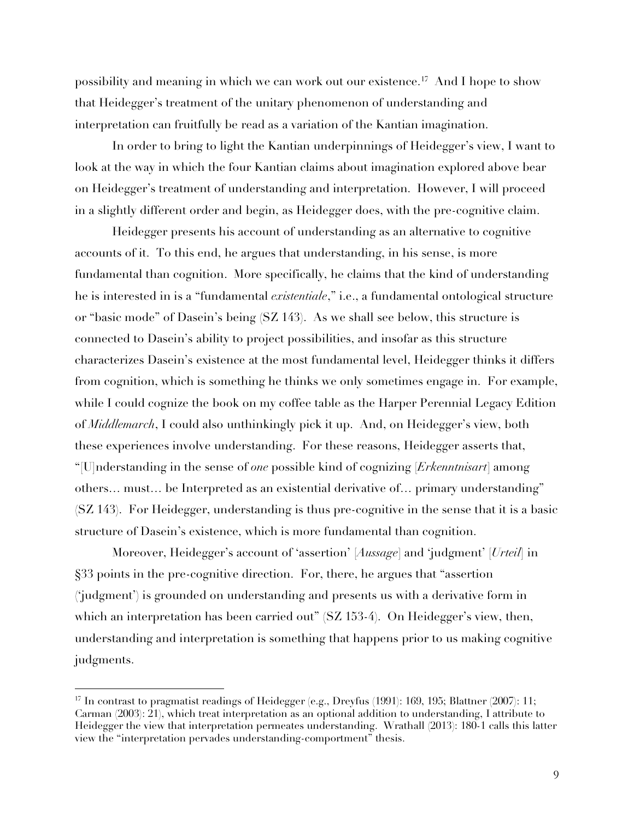possibility and meaning in which we can work out our existence.17 And I hope to show that Heidegger's treatment of the unitary phenomenon of understanding and interpretation can fruitfully be read as a variation of the Kantian imagination.

In order to bring to light the Kantian underpinnings of Heidegger's view, I want to look at the way in which the four Kantian claims about imagination explored above bear on Heidegger's treatment of understanding and interpretation. However, I will proceed in a slightly different order and begin, as Heidegger does, with the pre-cognitive claim.

Heidegger presents his account of understanding as an alternative to cognitive accounts of it. To this end, he argues that understanding, in his sense, is more fundamental than cognition. More specifically, he claims that the kind of understanding he is interested in is a "fundamental *existentiale*," i.e., a fundamental ontological structure or "basic mode" of Dasein's being (SZ 143). As we shall see below, this structure is connected to Dasein's ability to project possibilities, and insofar as this structure characterizes Dasein's existence at the most fundamental level, Heidegger thinks it differs from cognition, which is something he thinks we only sometimes engage in. For example, while I could cognize the book on my coffee table as the Harper Perennial Legacy Edition of *Middlemarch*, I could also unthinkingly pick it up. And, on Heidegger's view, both these experiences involve understanding. For these reasons, Heidegger asserts that, "[U]nderstanding in the sense of *one* possible kind of cognizing [*Erkenntnisart*] among others… must… be Interpreted as an existential derivative of… primary understanding" (SZ 143). For Heidegger, understanding is thus pre-cognitive in the sense that it is a basic structure of Dasein's existence, which is more fundamental than cognition.

Moreover, Heidegger's account of 'assertion' [*Aussage*] and 'judgment' [*Urteil*] in §33 points in the pre-cognitive direction. For, there, he argues that "assertion ('judgment') is grounded on understanding and presents us with a derivative form in which an interpretation has been carried out" (SZ 153-4). On Heidegger's view, then, understanding and interpretation is something that happens prior to us making cognitive judgments.

 $17$  In contrast to pragmatist readings of Heidegger (e.g., Dreyfus (1991): 169, 195; Blattner (2007): 11; Carman (2003): 21), which treat interpretation as an optional addition to understanding, I attribute to Heidegger the view that interpretation permeates understanding. Wrathall (2013): 180-1 calls this latter view the "interpretation pervades understanding-comportment" thesis.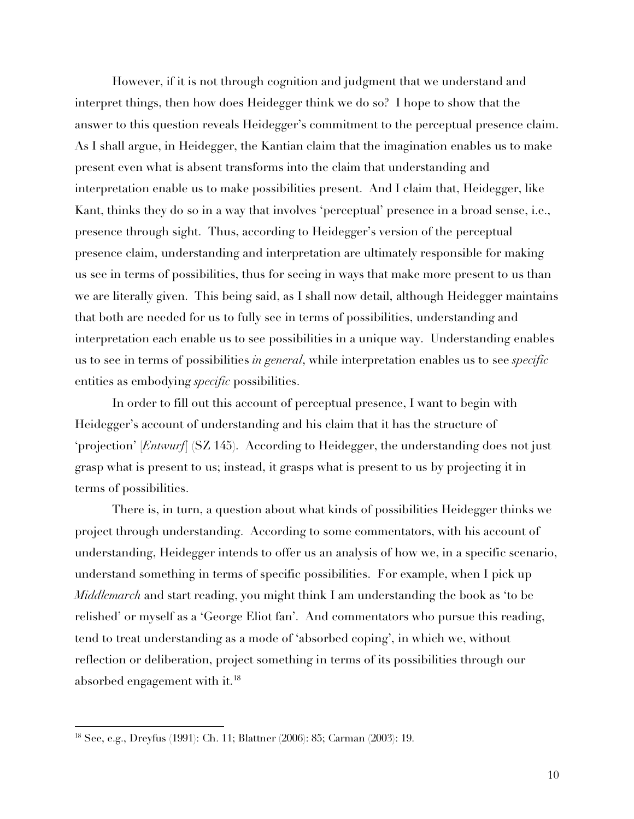However, if it is not through cognition and judgment that we understand and interpret things, then how does Heidegger think we do so? I hope to show that the answer to this question reveals Heidegger's commitment to the perceptual presence claim. As I shall argue, in Heidegger, the Kantian claim that the imagination enables us to make present even what is absent transforms into the claim that understanding and interpretation enable us to make possibilities present. And I claim that, Heidegger, like Kant, thinks they do so in a way that involves 'perceptual' presence in a broad sense, i.e., presence through sight. Thus, according to Heidegger's version of the perceptual presence claim, understanding and interpretation are ultimately responsible for making us see in terms of possibilities, thus for seeing in ways that make more present to us than we are literally given. This being said, as I shall now detail, although Heidegger maintains that both are needed for us to fully see in terms of possibilities, understanding and interpretation each enable us to see possibilities in a unique way. Understanding enables us to see in terms of possibilities *in general*, while interpretation enables us to see *specific*  entities as embodying *specific* possibilities.

In order to fill out this account of perceptual presence, I want to begin with Heidegger's account of understanding and his claim that it has the structure of 'projection' [*Entwurf*] (SZ 145). According to Heidegger, the understanding does not just grasp what is present to us; instead, it grasps what is present to us by projecting it in terms of possibilities.

There is, in turn, a question about what kinds of possibilities Heidegger thinks we project through understanding. According to some commentators, with his account of understanding, Heidegger intends to offer us an analysis of how we, in a specific scenario, understand something in terms of specific possibilities. For example, when I pick up *Middlemarch* and start reading, you might think I am understanding the book as 'to be relished' or myself as a 'George Eliot fan'. And commentators who pursue this reading, tend to treat understanding as a mode of 'absorbed coping', in which we, without reflection or deliberation, project something in terms of its possibilities through our absorbed engagement with it.18

<sup>18</sup> See, e.g., Dreyfus (1991): Ch. 11; Blattner (2006): 85; Carman (2003): 19.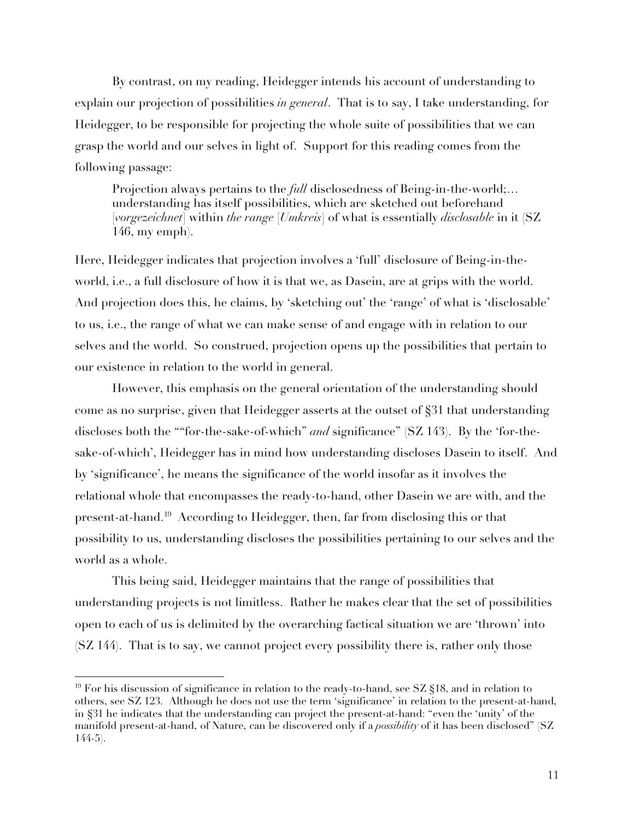By contrast, on my reading, Heidegger intends his account of understanding to explain our projection of possibilities *in general*. That is to say, I take understanding, for Heidegger, to be responsible for projecting the whole suite of possibilities that we can grasp the world and our selves in light of. Support for this reading comes from the following passage:

Projection always pertains to the *full* disclosedness of Being-in-the-world;… understanding has itself possibilities, which are sketched out beforehand [*vorgezeichnet*] within *the range* [*Umkreis*] of what is essentially *disclosable* in it (SZ 146, my emph).

Here, Heidegger indicates that projection involves a 'full' disclosure of Being-in-theworld, i.e., a full disclosure of how it is that we, as Dasein, are at grips with the world. And projection does this, he claims, by 'sketching out' the 'range' of what is 'disclosable' to us, i.e., the range of what we can make sense of and engage with in relation to our selves and the world. So construed, projection opens up the possibilities that pertain to our existence in relation to the world in general.

However, this emphasis on the general orientation of the understanding should come as no surprise, given that Heidegger asserts at the outset of §31 that understanding discloses both the ""for-the-sake-of-which" *and* significance" (SZ 143). By the 'for-thesake-of-which', Heidegger has in mind how understanding discloses Dasein to itself. And by 'significance', he means the significance of the world insofar as it involves the relational whole that encompasses the ready-to-hand, other Dasein we are with, and the present-at-hand.19 According to Heidegger, then, far from disclosing this or that possibility to us, understanding discloses the possibilities pertaining to our selves and the world as a whole.

This being said, Heidegger maintains that the range of possibilities that understanding projects is not limitless. Rather he makes clear that the set of possibilities open to each of us is delimited by the overarching factical situation we are 'thrown' into (SZ 144). That is to say, we cannot project every possibility there is, rather only those

 $19$  For his discussion of significance in relation to the ready-to-hand, see SZ §18, and in relation to others, see SZ 123. Although he does not use the term 'significance' in relation to the present-at-hand, in §31 he indicates that the understanding can project the present-at-hand: "even the 'unity' of the manifold present-at-hand, of Nature, can be discovered only if a *possibility* of it has been disclosed" (SZ 144-5).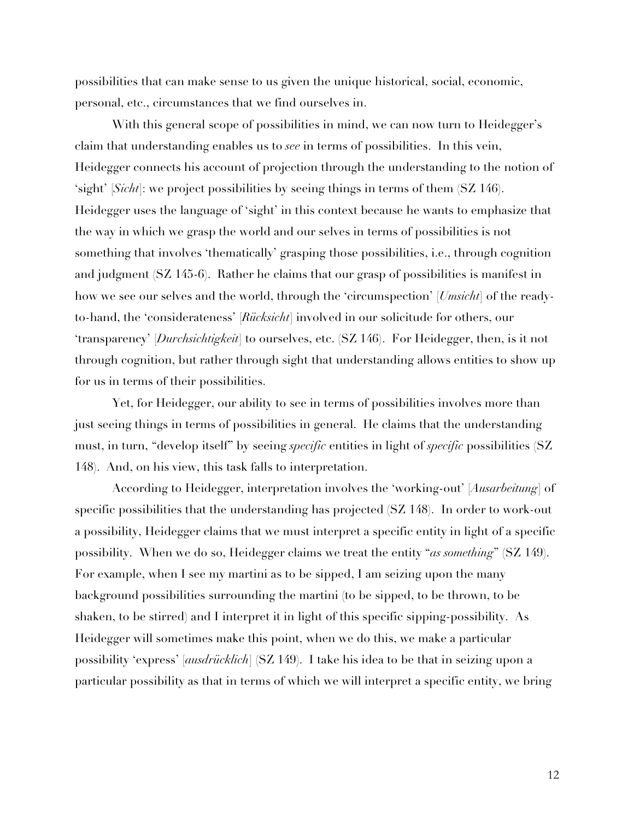possibilities that can make sense to us given the unique historical, social, economic, personal, etc., circumstances that we find ourselves in.

With this general scope of possibilities in mind, we can now turn to Heidegger's claim that understanding enables us to *see* in terms of possibilities. In this vein, Heidegger connects his account of projection through the understanding to the notion of 'sight' [*Sicht*]: we project possibilities by seeing things in terms of them (SZ 146). Heidegger uses the language of 'sight' in this context because he wants to emphasize that the way in which we grasp the world and our selves in terms of possibilities is not something that involves 'thematically' grasping those possibilities, i.e., through cognition and judgment (SZ 145-6). Rather he claims that our grasp of possibilities is manifest in how we see our selves and the world, through the 'circumspection' [*Umsicht*] of the readyto-hand, the 'considerateness' [*Rücksicht*] involved in our solicitude for others, our 'transparency' [*Durchsichtigkeit*] to ourselves, etc. (SZ 146). For Heidegger, then, is it not through cognition, but rather through sight that understanding allows entities to show up for us in terms of their possibilities.

Yet, for Heidegger, our ability to see in terms of possibilities involves more than just seeing things in terms of possibilities in general. He claims that the understanding must, in turn, "develop itself" by seeing *specific* entities in light of *specific* possibilities (SZ 148). And, on his view, this task falls to interpretation.

According to Heidegger, interpretation involves the 'working-out' [*Ausarbeitung*] of specific possibilities that the understanding has projected (SZ 148). In order to work-out a possibility, Heidegger claims that we must interpret a specific entity in light of a specific possibility. When we do so, Heidegger claims we treat the entity "*as something*" (SZ 149). For example, when I see my martini as to be sipped, I am seizing upon the many background possibilities surrounding the martini (to be sipped, to be thrown, to be shaken, to be stirred) and I interpret it in light of this specific sipping-possibility. As Heidegger will sometimes make this point, when we do this, we make a particular possibility 'express' [*ausdrücklich*] (SZ 149). I take his idea to be that in seizing upon a particular possibility as that in terms of which we will interpret a specific entity, we bring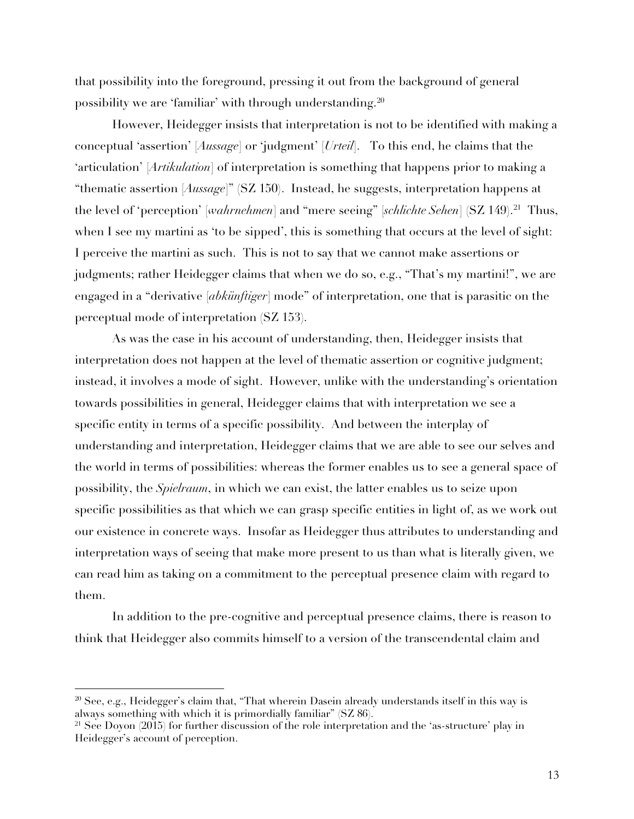that possibility into the foreground, pressing it out from the background of general possibility we are 'familiar' with through understanding.20

However, Heidegger insists that interpretation is not to be identified with making a conceptual 'assertion' [*Aussage*] or 'judgment' [*Urteil*]. To this end, he claims that the 'articulation' [*Artikulation*] of interpretation is something that happens prior to making a "thematic assertion [*Aussage*]" (SZ 150). Instead, he suggests, interpretation happens at the level of 'perception' [*wahrnehmen*] and "mere seeing" [*schlichte Sehen*] (SZ 149).<sup>21</sup> Thus, when I see my martini as 'to be sipped', this is something that occurs at the level of sight: I perceive the martini as such. This is not to say that we cannot make assertions or judgments; rather Heidegger claims that when we do so, e.g., "That's my martini!", we are engaged in a "derivative [*abkünftiger*] mode" of interpretation, one that is parasitic on the perceptual mode of interpretation (SZ 153).

As was the case in his account of understanding, then, Heidegger insists that interpretation does not happen at the level of thematic assertion or cognitive judgment; instead, it involves a mode of sight. However, unlike with the understanding's orientation towards possibilities in general, Heidegger claims that with interpretation we see a specific entity in terms of a specific possibility. And between the interplay of understanding and interpretation, Heidegger claims that we are able to see our selves and the world in terms of possibilities: whereas the former enables us to see a general space of possibility, the *Spielraum*, in which we can exist, the latter enables us to seize upon specific possibilities as that which we can grasp specific entities in light of, as we work out our existence in concrete ways. Insofar as Heidegger thus attributes to understanding and interpretation ways of seeing that make more present to us than what is literally given, we can read him as taking on a commitment to the perceptual presence claim with regard to them.

In addition to the pre-cognitive and perceptual presence claims, there is reason to think that Heidegger also commits himself to a version of the transcendental claim and

 $20$  See, e.g., Heidegger's claim that, "That wherein Dasein already understands itself in this way is always something with which it is primordially familiar" (SZ 86).

 $21$  See Doyon (2015) for further discussion of the role interpretation and the 'as-structure' play in Heidegger's account of perception.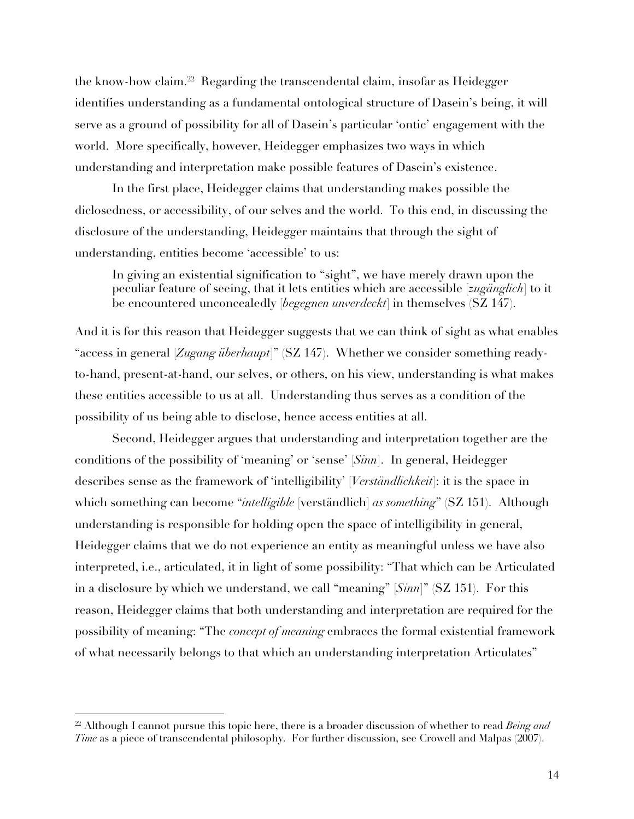the know-how claim.22 Regarding the transcendental claim, insofar as Heidegger identifies understanding as a fundamental ontological structure of Dasein's being, it will serve as a ground of possibility for all of Dasein's particular 'ontic' engagement with the world. More specifically, however, Heidegger emphasizes two ways in which understanding and interpretation make possible features of Dasein's existence.

In the first place, Heidegger claims that understanding makes possible the diclosedness, or accessibility, of our selves and the world. To this end, in discussing the disclosure of the understanding, Heidegger maintains that through the sight of understanding, entities become 'accessible' to us:

In giving an existential signification to "sight", we have merely drawn upon the peculiar feature of seeing, that it lets entities which are accessible [*zugänglich*] to it be encountered unconcealedly [*begegnen unverdeckt*] in themselves (SZ 147).

And it is for this reason that Heidegger suggests that we can think of sight as what enables "access in general [*Zugang überhaupt*]" (SZ 147). Whether we consider something readyto-hand, present-at-hand, our selves, or others, on his view, understanding is what makes these entities accessible to us at all. Understanding thus serves as a condition of the possibility of us being able to disclose, hence access entities at all.

Second, Heidegger argues that understanding and interpretation together are the conditions of the possibility of 'meaning' or 'sense' [*Sinn*]. In general, Heidegger describes sense as the framework of 'intelligibility' [*Verständlichkeit*]: it is the space in which something can become "*intelligible* [verständlich] *as something*" (SZ 151). Although understanding is responsible for holding open the space of intelligibility in general, Heidegger claims that we do not experience an entity as meaningful unless we have also interpreted, i.e., articulated, it in light of some possibility: "That which can be Articulated in a disclosure by which we understand, we call "meaning" [*Sinn*]" (SZ 151). For this reason, Heidegger claims that both understanding and interpretation are required for the possibility of meaning: "The *concept of meaning* embraces the formal existential framework of what necessarily belongs to that which an understanding interpretation Articulates"

<sup>22</sup> Although I cannot pursue this topic here, there is a broader discussion of whether to read *Being and Time* as a piece of transcendental philosophy. For further discussion, see Crowell and Malpas (2007).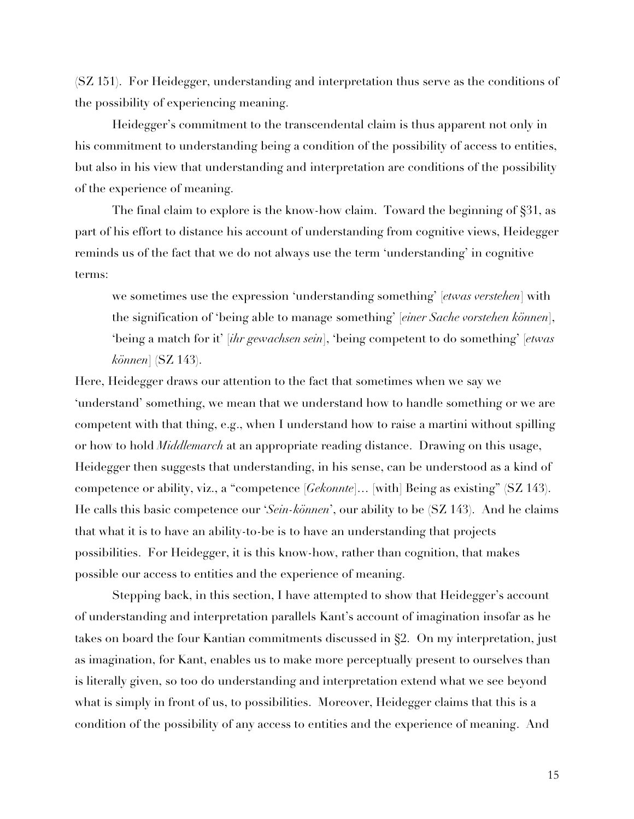(SZ 151). For Heidegger, understanding and interpretation thus serve as the conditions of the possibility of experiencing meaning.

Heidegger's commitment to the transcendental claim is thus apparent not only in his commitment to understanding being a condition of the possibility of access to entities, but also in his view that understanding and interpretation are conditions of the possibility of the experience of meaning.

The final claim to explore is the know-how claim. Toward the beginning of §31, as part of his effort to distance his account of understanding from cognitive views, Heidegger reminds us of the fact that we do not always use the term 'understanding' in cognitive terms:

we sometimes use the expression 'understanding something' [*etwas verstehen*] with the signification of 'being able to manage something' [*einer Sache vorstehen können*], 'being a match for it' [*ihr gewachsen sein*], 'being competent to do something' [*etwas können*] (SZ 143).

Here, Heidegger draws our attention to the fact that sometimes when we say we 'understand' something, we mean that we understand how to handle something or we are competent with that thing, e.g., when I understand how to raise a martini without spilling or how to hold *Middlemarch* at an appropriate reading distance. Drawing on this usage, Heidegger then suggests that understanding, in his sense, can be understood as a kind of competence or ability, viz., a "competence [*Gekonnte*]… [with] Being as existing" (SZ 143). He calls this basic competence our '*Sein-können*', our ability to be (SZ 143). And he claims that what it is to have an ability-to-be is to have an understanding that projects possibilities. For Heidegger, it is this know-how, rather than cognition, that makes possible our access to entities and the experience of meaning.

Stepping back, in this section, I have attempted to show that Heidegger's account of understanding and interpretation parallels Kant's account of imagination insofar as he takes on board the four Kantian commitments discussed in §2. On my interpretation, just as imagination, for Kant, enables us to make more perceptually present to ourselves than is literally given, so too do understanding and interpretation extend what we see beyond what is simply in front of us, to possibilities. Moreover, Heidegger claims that this is a condition of the possibility of any access to entities and the experience of meaning. And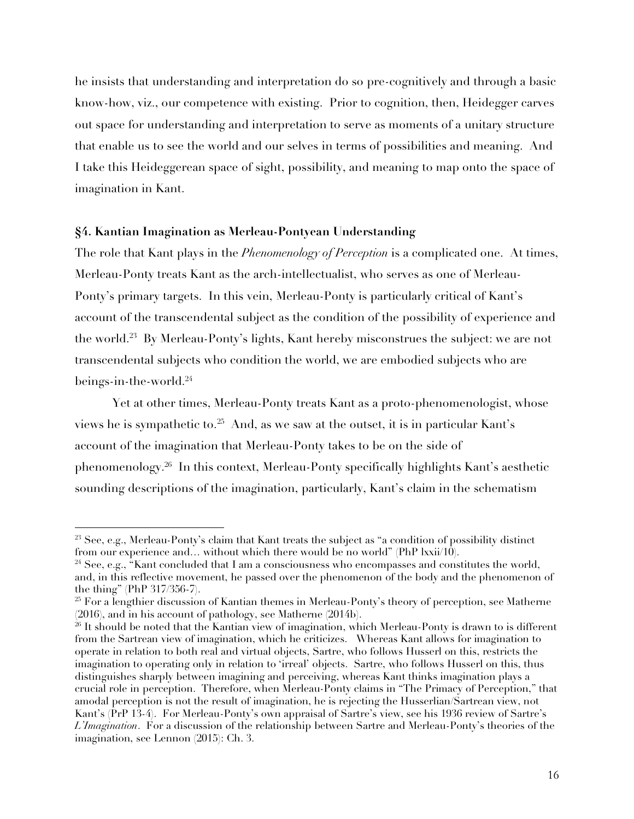he insists that understanding and interpretation do so pre-cognitively and through a basic know-how, viz., our competence with existing. Prior to cognition, then, Heidegger carves out space for understanding and interpretation to serve as moments of a unitary structure that enable us to see the world and our selves in terms of possibilities and meaning. And I take this Heideggerean space of sight, possibility, and meaning to map onto the space of imagination in Kant.

### **§4. Kantian Imagination as Merleau-Pontyean Understanding**

The role that Kant plays in the *Phenomenology of Perception* is a complicated one. At times, Merleau-Ponty treats Kant as the arch-intellectualist, who serves as one of Merleau-Ponty's primary targets. In this vein, Merleau-Ponty is particularly critical of Kant's account of the transcendental subject as the condition of the possibility of experience and the world.23 By Merleau-Ponty's lights, Kant hereby misconstrues the subject: we are not transcendental subjects who condition the world, we are embodied subjects who are beings-in-the-world.24

Yet at other times, Merleau-Ponty treats Kant as a proto-phenomenologist, whose views he is sympathetic to.<sup>25</sup> And, as we saw at the outset, it is in particular Kant's account of the imagination that Merleau-Ponty takes to be on the side of phenomenology.26 In this context, Merleau-Ponty specifically highlights Kant's aesthetic sounding descriptions of the imagination, particularly, Kant's claim in the schematism

<sup>&</sup>lt;u>.</u>  $^{23}$  See, e.g., Merleau-Ponty's claim that Kant treats the subject as "a condition of possibility distinct from our experience and... without which there would be no world" (PhP  $\frac{lxi}{10}$ ).

<sup>&</sup>lt;sup>24</sup> See, e.g.,  $^{4}$ Kant concluded that I am a consciousness who encompasses and constitutes the world, and, in this reflective movement, he passed over the phenomenon of the body and the phenomenon of the thing" (PhP 317/356-7).

<sup>&</sup>lt;sup>25</sup> For a lengthier discussion of Kantian themes in Merleau-Ponty's theory of perception, see Matherne (2016), and in his account of pathology, see Matherne (2014b).

 $^{26}$  It should be noted that the Kantian view of imagination, which Merleau-Ponty is drawn to is different from the Sartrean view of imagination, which he criticizes. Whereas Kant allows for imagination to operate in relation to both real and virtual objects, Sartre, who follows Husserl on this, restricts the imagination to operating only in relation to 'irreal' objects. Sartre, who follows Husserl on this, thus distinguishes sharply between imagining and perceiving, whereas Kant thinks imagination plays a crucial role in perception. Therefore, when Merleau-Ponty claims in "The Primacy of Perception," that amodal perception is not the result of imagination, he is rejecting the Husserlian/Sartrean view, not Kant's (PrP 13-4). For Merleau-Ponty's own appraisal of Sartre's view, see his 1936 review of Sartre's *L'Imagination*. For a discussion of the relationship between Sartre and Merleau-Ponty's theories of the imagination, see Lennon (2015): Ch. 3.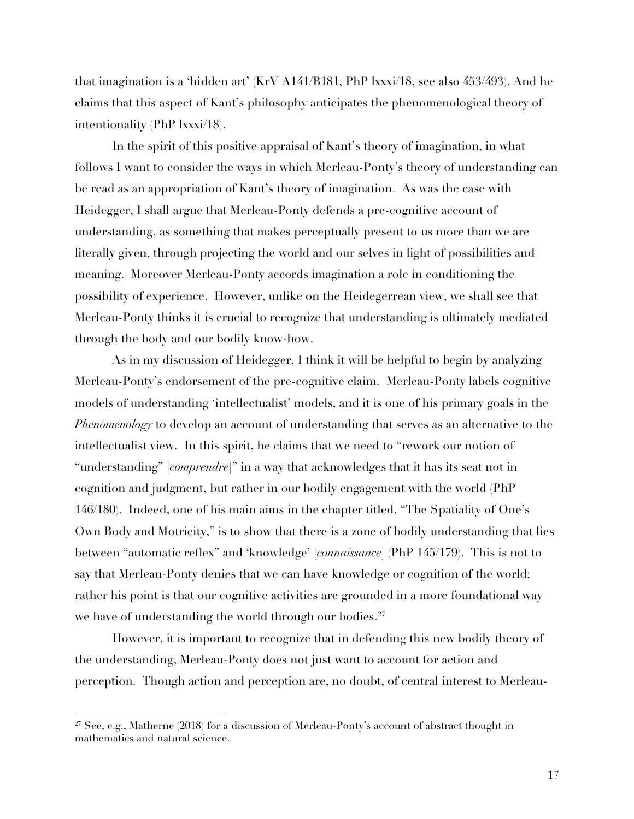that imagination is a 'hidden art' (KrV A141/B181, PhP lxxxi/18, see also 453/493). And he claims that this aspect of Kant's philosophy anticipates the phenomenological theory of intentionality (PhP lxxxi/18).

In the spirit of this positive appraisal of Kant's theory of imagination, in what follows I want to consider the ways in which Merleau-Ponty's theory of understanding can be read as an appropriation of Kant's theory of imagination. As was the case with Heidegger, I shall argue that Merleau-Ponty defends a pre-cognitive account of understanding, as something that makes perceptually present to us more than we are literally given, through projecting the world and our selves in light of possibilities and meaning. Moreover Merleau-Ponty accords imagination a role in conditioning the possibility of experience. However, unlike on the Heidegerrean view, we shall see that Merleau-Ponty thinks it is crucial to recognize that understanding is ultimately mediated through the body and our bodily know-how.

As in my discussion of Heidegger, I think it will be helpful to begin by analyzing Merleau-Ponty's endorsement of the pre-cognitive claim. Merleau-Ponty labels cognitive models of understanding 'intellectualist' models, and it is one of his primary goals in the *Phenomenology* to develop an account of understanding that serves as an alternative to the intellectualist view. In this spirit, he claims that we need to "rework our notion of "understanding" [*comprendre*]" in a way that acknowledges that it has its seat not in cognition and judgment, but rather in our bodily engagement with the world (PhP 146/180). Indeed, one of his main aims in the chapter titled, "The Spatiality of One's Own Body and Motricity," is to show that there is a zone of bodily understanding that lies between "automatic reflex" and 'knowledge' [*connaissance*] (PhP 145/179). This is not to say that Merleau-Ponty denies that we can have knowledge or cognition of the world; rather his point is that our cognitive activities are grounded in a more foundational way we have of understanding the world through our bodies.<sup>27</sup>

However, it is important to recognize that in defending this new bodily theory of the understanding, Merleau-Ponty does not just want to account for action and perception. Though action and perception are, no doubt, of central interest to Merleau-

 $27$  See, e.g., Matherne (2018) for a discussion of Merleau-Ponty's account of abstract thought in mathematics and natural science.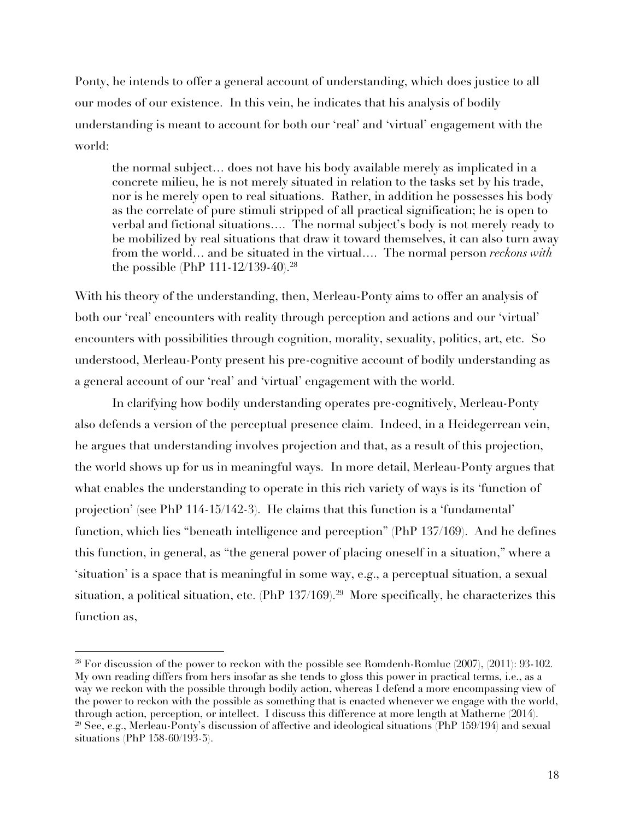Ponty, he intends to offer a general account of understanding, which does justice to all our modes of our existence. In this vein, he indicates that his analysis of bodily understanding is meant to account for both our 'real' and 'virtual' engagement with the world:

the normal subject… does not have his body available merely as implicated in a concrete milieu, he is not merely situated in relation to the tasks set by his trade, nor is he merely open to real situations. Rather, in addition he possesses his body as the correlate of pure stimuli stripped of all practical signification; he is open to verbal and fictional situations…. The normal subject's body is not merely ready to be mobilized by real situations that draw it toward themselves, it can also turn away from the world… and be situated in the virtual…. The normal person *reckons with*  the possible (PhP 111-12/139-40).<sup>28</sup>

With his theory of the understanding, then, Merleau-Ponty aims to offer an analysis of both our 'real' encounters with reality through perception and actions and our 'virtual' encounters with possibilities through cognition, morality, sexuality, politics, art, etc. So understood, Merleau-Ponty present his pre-cognitive account of bodily understanding as a general account of our 'real' and 'virtual' engagement with the world.

In clarifying how bodily understanding operates pre-cognitively, Merleau-Ponty also defends a version of the perceptual presence claim. Indeed, in a Heidegerrean vein, he argues that understanding involves projection and that, as a result of this projection, the world shows up for us in meaningful ways. In more detail, Merleau-Ponty argues that what enables the understanding to operate in this rich variety of ways is its 'function of projection' (see PhP 114-15/142-3). He claims that this function is a 'fundamental' function, which lies "beneath intelligence and perception" (PhP 137/169). And he defines this function, in general, as "the general power of placing oneself in a situation," where a 'situation' is a space that is meaningful in some way, e.g., a perceptual situation, a sexual situation, a political situation, etc. (PhP 137/169).<sup>29</sup> More specifically, he characterizes this function as,

<sup>&</sup>lt;u>.</u>  $^{28}$  For discussion of the power to reckon with the possible see Romdenh-Romluc (2007), (2011): 93-102. My own reading differs from hers insofar as she tends to gloss this power in practical terms, i.e., as a way we reckon with the possible through bodily action, whereas I defend a more encompassing view of the power to reckon with the possible as something that is enacted whenever we engage with the world, through action, perception, or intellect. I discuss this difference at more length at Matherne (2014).  $29$  See, e.g., Merleau-Ponty's discussion of affective and ideological situations (PhP 159/194) and sexual situations (PhP 158-60/193-5).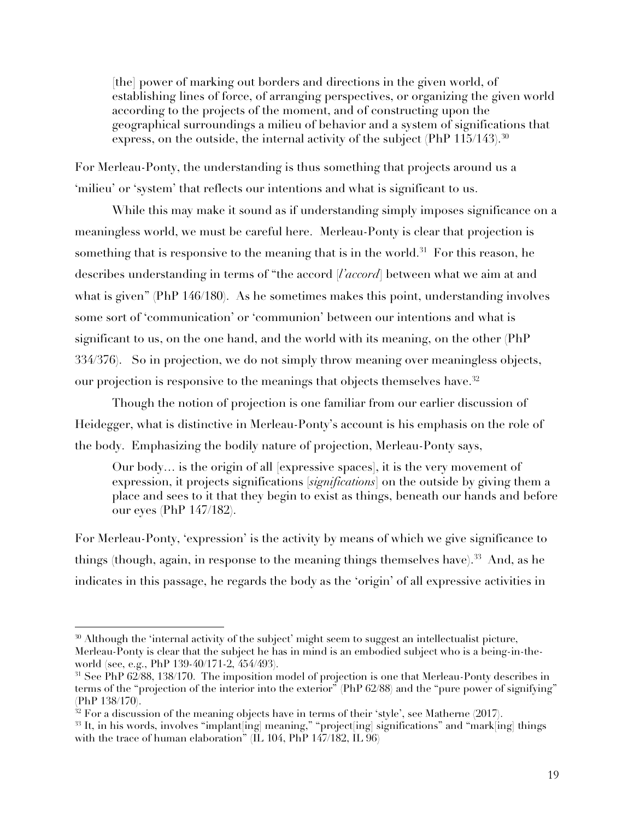[the] power of marking out borders and directions in the given world, of establishing lines of force, of arranging perspectives, or organizing the given world according to the projects of the moment, and of constructing upon the geographical surroundings a milieu of behavior and a system of significations that express, on the outside, the internal activity of the subject (PhP  $115/143$ ).<sup>30</sup>

For Merleau-Ponty, the understanding is thus something that projects around us a 'milieu' or 'system' that reflects our intentions and what is significant to us.

While this may make it sound as if understanding simply imposes significance on a meaningless world, we must be careful here. Merleau-Ponty is clear that projection is something that is responsive to the meaning that is in the world.<sup>31</sup> For this reason, he describes understanding in terms of "the accord [*l'accord*] between what we aim at and what is given" (PhP 146/180). As he sometimes makes this point, understanding involves some sort of 'communication' or 'communion' between our intentions and what is significant to us, on the one hand, and the world with its meaning, on the other (PhP 334/376). So in projection, we do not simply throw meaning over meaningless objects, our projection is responsive to the meanings that objects themselves have.<sup>32</sup>

Though the notion of projection is one familiar from our earlier discussion of Heidegger, what is distinctive in Merleau-Ponty's account is his emphasis on the role of the body. Emphasizing the bodily nature of projection, Merleau-Ponty says,

Our body… is the origin of all [expressive spaces], it is the very movement of expression, it projects significations [*significations*] on the outside by giving them a place and sees to it that they begin to exist as things, beneath our hands and before our eyes (PhP 147/182).

For Merleau-Ponty, 'expression' is the activity by means of which we give significance to things (though, again, in response to the meaning things themselves have).<sup>33</sup> And, as he indicates in this passage, he regards the body as the 'origin' of all expressive activities in

<sup>&</sup>lt;u>.</u> <sup>30</sup> Although the 'internal activity of the subject' might seem to suggest an intellectualist picture, Merleau-Ponty is clear that the subject he has in mind is an embodied subject who is a being-in-theworld (see, e.g., PhP 139-40/171-2, 454/493).

 $31$  See PhP 62/88, 138/170. The imposition model of projection is one that Merleau-Ponty describes in terms of the "projection of the interior into the exterior" (PhP 62/88) and the "pure power of signifying" (PhP 138/170).

 $32$  For a discussion of the meaning objects have in terms of their 'style', see Matherne (2017).

<sup>&</sup>lt;sup>33</sup> It, in his words, involves "implant[ing] meaning," "project[ing] significations" and "mark[ing] things with the trace of human elaboration"  $(\tilde{\mathbf{L}})$  104, PhP 147/182,  $\tilde{\mathbf{L}}$  96)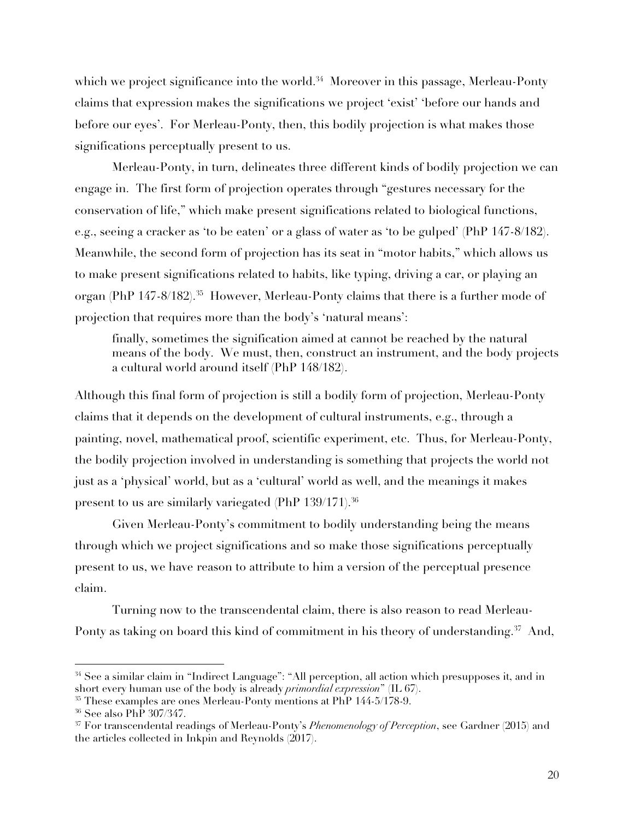which we project significance into the world.<sup>34</sup> Moreover in this passage, Merleau-Ponty claims that expression makes the significations we project 'exist' 'before our hands and before our eyes'. For Merleau-Ponty, then, this bodily projection is what makes those significations perceptually present to us.

Merleau-Ponty, in turn, delineates three different kinds of bodily projection we can engage in. The first form of projection operates through "gestures necessary for the conservation of life," which make present significations related to biological functions, e.g., seeing a cracker as 'to be eaten' or a glass of water as 'to be gulped' (PhP 147-8/182). Meanwhile, the second form of projection has its seat in "motor habits," which allows us to make present significations related to habits, like typing, driving a car, or playing an organ (PhP 147-8/182).<sup>35</sup> However, Merleau-Ponty claims that there is a further mode of projection that requires more than the body's 'natural means':

finally, sometimes the signification aimed at cannot be reached by the natural means of the body. We must, then, construct an instrument, and the body projects a cultural world around itself (PhP 148/182).

Although this final form of projection is still a bodily form of projection, Merleau-Ponty claims that it depends on the development of cultural instruments, e.g., through a painting, novel, mathematical proof, scientific experiment, etc. Thus, for Merleau-Ponty, the bodily projection involved in understanding is something that projects the world not just as a 'physical' world, but as a 'cultural' world as well, and the meanings it makes present to us are similarly variegated (PhP 139/171).<sup>36</sup>

Given Merleau-Ponty's commitment to bodily understanding being the means through which we project significations and so make those significations perceptually present to us, we have reason to attribute to him a version of the perceptual presence claim.

Turning now to the transcendental claim, there is also reason to read Merleau-Ponty as taking on board this kind of commitment in his theory of understanding.<sup>37</sup> And,

 $34$  See a similar claim in "Indirect Language": "All perception, all action which presupposes it, and in short every human use of the body is already *primordial expression*" (IL 67).

<sup>35</sup> These examples are ones Merleau-Ponty mentions at PhP 144-5/178-9.

<sup>36</sup> See also PhP 307/347.

<sup>37</sup> For transcendental readings of Merleau-Ponty's *Phenomenology of Perception*, see Gardner (2015) and the articles collected in Inkpin and Reynolds (2017).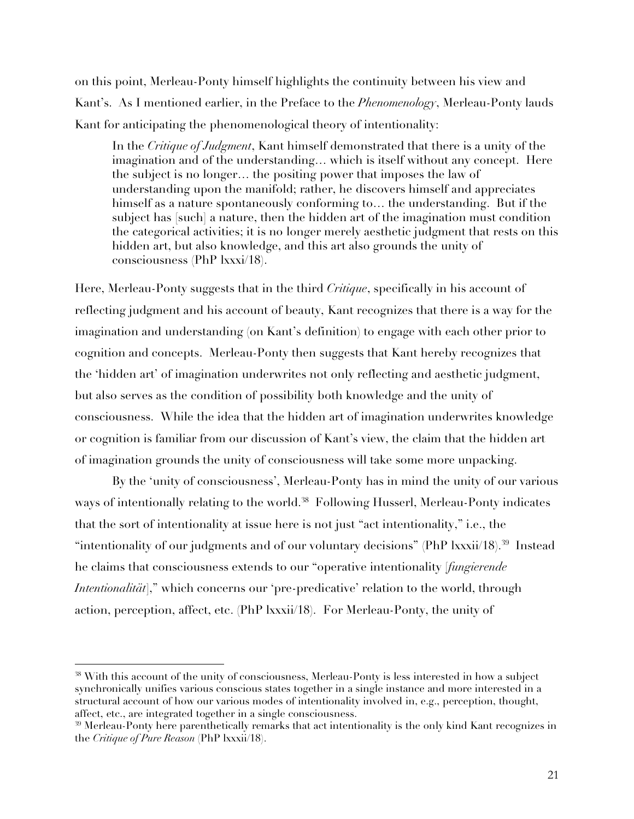on this point, Merleau-Ponty himself highlights the continuity between his view and Kant's. As I mentioned earlier, in the Preface to the *Phenomenology*, Merleau-Ponty lauds Kant for anticipating the phenomenological theory of intentionality:

In the *Critique of Judgment*, Kant himself demonstrated that there is a unity of the imagination and of the understanding… which is itself without any concept. Here the subject is no longer… the positing power that imposes the law of understanding upon the manifold; rather, he discovers himself and appreciates himself as a nature spontaneously conforming to... the understanding. But if the subject has [such] a nature, then the hidden art of the imagination must condition the categorical activities; it is no longer merely aesthetic judgment that rests on this hidden art, but also knowledge, and this art also grounds the unity of consciousness (PhP lxxxi/18).

Here, Merleau-Ponty suggests that in the third *Critique*, specifically in his account of reflecting judgment and his account of beauty, Kant recognizes that there is a way for the imagination and understanding (on Kant's definition) to engage with each other prior to cognition and concepts. Merleau-Ponty then suggests that Kant hereby recognizes that the 'hidden art' of imagination underwrites not only reflecting and aesthetic judgment, but also serves as the condition of possibility both knowledge and the unity of consciousness. While the idea that the hidden art of imagination underwrites knowledge or cognition is familiar from our discussion of Kant's view, the claim that the hidden art of imagination grounds the unity of consciousness will take some more unpacking.

By the 'unity of consciousness', Merleau-Ponty has in mind the unity of our various ways of intentionally relating to the world.<sup>38</sup> Following Husserl, Merleau-Ponty indicates that the sort of intentionality at issue here is not just "act intentionality," i.e., the "intentionality of our judgments and of our voluntary decisions" (PhP lxxxii/18).<sup>39</sup> Instead he claims that consciousness extends to our "operative intentionality [*fungierende Intentionalität*]," which concerns our 'pre-predicative' relation to the world, through action, perception, affect, etc. (PhP lxxxii/18). For Merleau-Ponty, the unity of

<sup>38</sup> With this account of the unity of consciousness, Merleau-Ponty is less interested in how a subject synchronically unifies various conscious states together in a single instance and more interested in a structural account of how our various modes of intentionality involved in, e.g., perception, thought,

 $39$  Merleau-Ponty here parenthetically remarks that act intentionality is the only kind Kant recognizes in the *Critique of Pure Reason* (PhP lxxxii/18).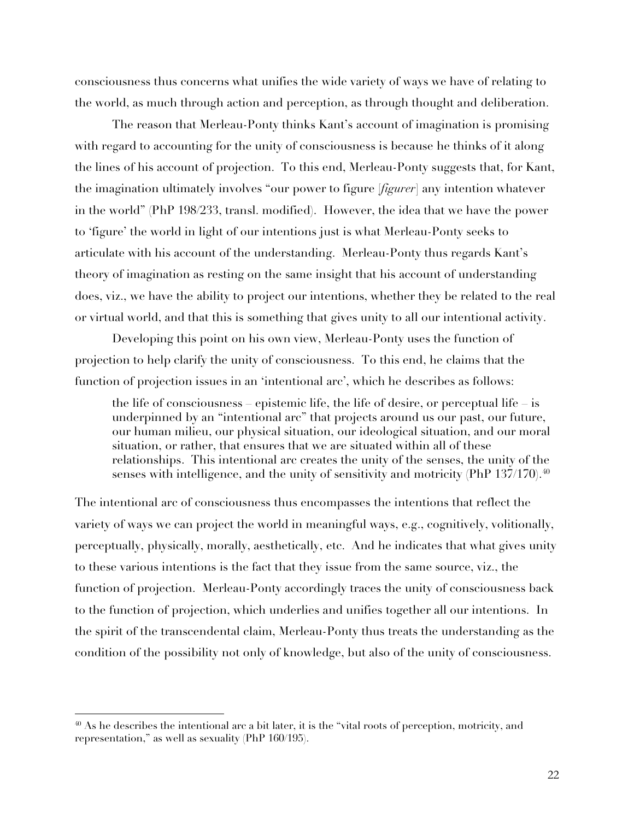consciousness thus concerns what unifies the wide variety of ways we have of relating to the world, as much through action and perception, as through thought and deliberation.

The reason that Merleau-Ponty thinks Kant's account of imagination is promising with regard to accounting for the unity of consciousness is because he thinks of it along the lines of his account of projection. To this end, Merleau-Ponty suggests that, for Kant, the imagination ultimately involves "our power to figure [*figurer*] any intention whatever in the world" (PhP 198/233, transl. modified). However, the idea that we have the power to 'figure' the world in light of our intentions just is what Merleau-Ponty seeks to articulate with his account of the understanding. Merleau-Ponty thus regards Kant's theory of imagination as resting on the same insight that his account of understanding does, viz., we have the ability to project our intentions, whether they be related to the real or virtual world, and that this is something that gives unity to all our intentional activity.

Developing this point on his own view, Merleau-Ponty uses the function of projection to help clarify the unity of consciousness. To this end, he claims that the function of projection issues in an 'intentional arc', which he describes as follows:

the life of consciousness – epistemic life, the life of desire, or perceptual life – is underpinned by an "intentional arc" that projects around us our past, our future, our human milieu, our physical situation, our ideological situation, and our moral situation, or rather, that ensures that we are situated within all of these relationships. This intentional arc creates the unity of the senses, the unity of the senses with intelligence, and the unity of sensitivity and motricity (PhP 137/170).<sup>40</sup>

The intentional arc of consciousness thus encompasses the intentions that reflect the variety of ways we can project the world in meaningful ways, e.g., cognitively, volitionally, perceptually, physically, morally, aesthetically, etc. And he indicates that what gives unity to these various intentions is the fact that they issue from the same source, viz., the function of projection. Merleau-Ponty accordingly traces the unity of consciousness back to the function of projection, which underlies and unifies together all our intentions. In the spirit of the transcendental claim, Merleau-Ponty thus treats the understanding as the condition of the possibility not only of knowledge, but also of the unity of consciousness.

 $40$  As he describes the intentional arc a bit later, it is the "vital roots of perception, motricity, and representation," as well as sexuality (PhP 160/195).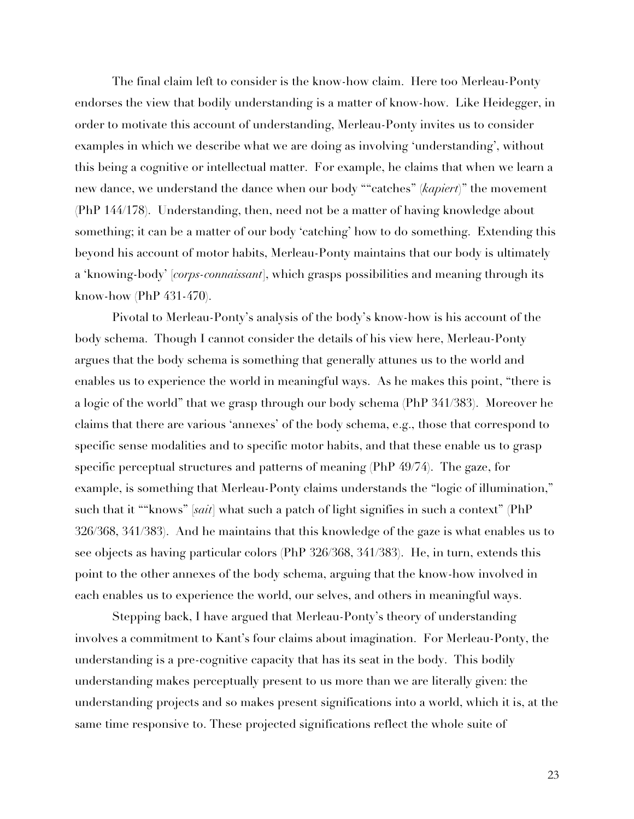The final claim left to consider is the know-how claim. Here too Merleau-Ponty endorses the view that bodily understanding is a matter of know-how. Like Heidegger, in order to motivate this account of understanding, Merleau-Ponty invites us to consider examples in which we describe what we are doing as involving 'understanding', without this being a cognitive or intellectual matter. For example, he claims that when we learn a new dance, we understand the dance when our body ""catches" (*kapiert*)" the movement (PhP 144/178). Understanding, then, need not be a matter of having knowledge about something; it can be a matter of our body 'catching' how to do something. Extending this beyond his account of motor habits, Merleau-Ponty maintains that our body is ultimately a 'knowing-body' [*corps-connaissant*], which grasps possibilities and meaning through its know-how (PhP 431-470).

Pivotal to Merleau-Ponty's analysis of the body's know-how is his account of the body schema. Though I cannot consider the details of his view here, Merleau-Ponty argues that the body schema is something that generally attunes us to the world and enables us to experience the world in meaningful ways. As he makes this point, "there is a logic of the world" that we grasp through our body schema (PhP 341/383). Moreover he claims that there are various 'annexes' of the body schema, e.g., those that correspond to specific sense modalities and to specific motor habits, and that these enable us to grasp specific perceptual structures and patterns of meaning (PhP 49/74). The gaze, for example, is something that Merleau-Ponty claims understands the "logic of illumination," such that it ""knows" [*sait*] what such a patch of light signifies in such a context" (PhP 326/368, 341/383). And he maintains that this knowledge of the gaze is what enables us to see objects as having particular colors (PhP 326/368, 341/383). He, in turn, extends this point to the other annexes of the body schema, arguing that the know-how involved in each enables us to experience the world, our selves, and others in meaningful ways.

Stepping back, I have argued that Merleau-Ponty's theory of understanding involves a commitment to Kant's four claims about imagination. For Merleau-Ponty, the understanding is a pre-cognitive capacity that has its seat in the body. This bodily understanding makes perceptually present to us more than we are literally given: the understanding projects and so makes present significations into a world, which it is, at the same time responsive to. These projected significations reflect the whole suite of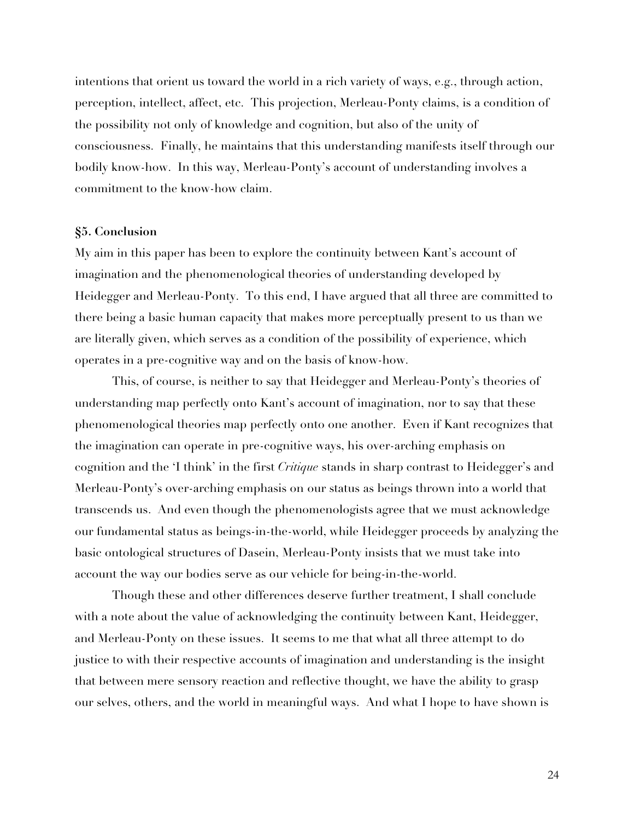intentions that orient us toward the world in a rich variety of ways, e.g., through action, perception, intellect, affect, etc. This projection, Merleau-Ponty claims, is a condition of the possibility not only of knowledge and cognition, but also of the unity of consciousness. Finally, he maintains that this understanding manifests itself through our bodily know-how. In this way, Merleau-Ponty's account of understanding involves a commitment to the know-how claim.

#### **§5. Conclusion**

My aim in this paper has been to explore the continuity between Kant's account of imagination and the phenomenological theories of understanding developed by Heidegger and Merleau-Ponty. To this end, I have argued that all three are committed to there being a basic human capacity that makes more perceptually present to us than we are literally given, which serves as a condition of the possibility of experience, which operates in a pre-cognitive way and on the basis of know-how.

This, of course, is neither to say that Heidegger and Merleau-Ponty's theories of understanding map perfectly onto Kant's account of imagination, nor to say that these phenomenological theories map perfectly onto one another. Even if Kant recognizes that the imagination can operate in pre-cognitive ways, his over-arching emphasis on cognition and the 'I think' in the first *Critique* stands in sharp contrast to Heidegger's and Merleau-Ponty's over-arching emphasis on our status as beings thrown into a world that transcends us. And even though the phenomenologists agree that we must acknowledge our fundamental status as beings-in-the-world, while Heidegger proceeds by analyzing the basic ontological structures of Dasein, Merleau-Ponty insists that we must take into account the way our bodies serve as our vehicle for being-in-the-world.

Though these and other differences deserve further treatment, I shall conclude with a note about the value of acknowledging the continuity between Kant, Heidegger, and Merleau-Ponty on these issues. It seems to me that what all three attempt to do justice to with their respective accounts of imagination and understanding is the insight that between mere sensory reaction and reflective thought, we have the ability to grasp our selves, others, and the world in meaningful ways. And what I hope to have shown is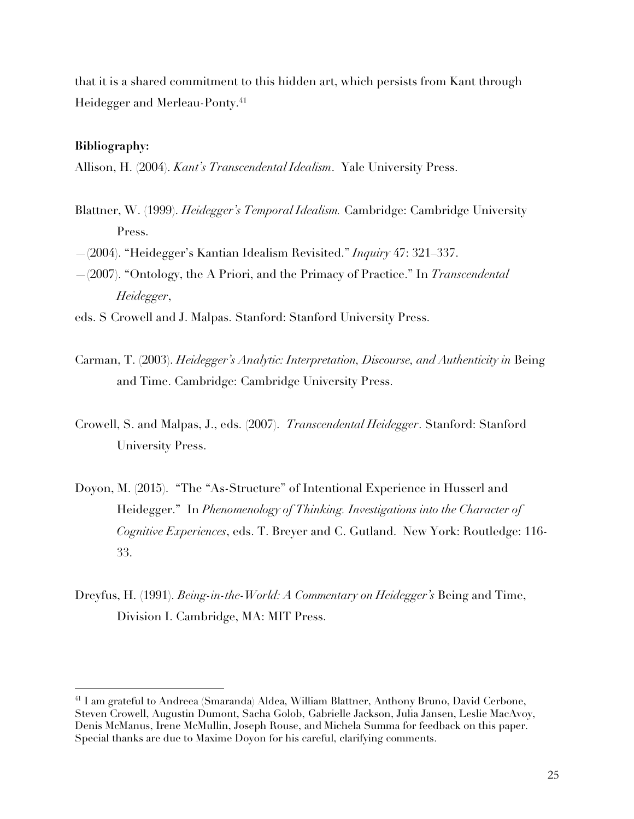that it is a shared commitment to this hidden art, which persists from Kant through Heidegger and Merleau-Ponty.<sup>41</sup>

#### **Bibliography:**

<u>.</u>

Allison, H. (2004). *Kant's Transcendental Idealism*. Yale University Press.

- Blattner, W. (1999). *Heidegger's Temporal Idealism.* Cambridge: Cambridge University Press.
- —(2004). "Heidegger's Kantian Idealism Revisited." *Inquiry* 47: 321–337.
- —(2007). "Ontology, the A Priori, and the Primacy of Practice." In *Transcendental Heidegger*,
- eds. S Crowell and J. Malpas. Stanford: Stanford University Press.
- Carman, T. (2003). *Heidegger's Analytic: Interpretation, Discourse, and Authenticity in* Being and Time. Cambridge: Cambridge University Press.
- Crowell, S. and Malpas, J., eds. (2007). *Transcendental Heidegger*. Stanford: Stanford University Press.
- Doyon, M. (2015). "The "As-Structure" of Intentional Experience in Husserl and Heidegger." In *Phenomenology of Thinking. Investigations into the Character of Cognitive Experiences*, eds. T. Breyer and C. Gutland. New York: Routledge: 116- 33.
- Dreyfus, H. (1991). *Being-in-the-World: A Commentary on Heidegger's* Being and Time, Division I. Cambridge, MA: MIT Press.

<sup>41</sup> I am grateful to Andreea (Smaranda) Aldea, William Blattner, Anthony Bruno, David Cerbone, Steven Crowell, Augustin Dumont, Sacha Golob, Gabrielle Jackson, Julia Jansen, Leslie MacAvoy, Denis McManus, Irene McMullin, Joseph Rouse, and Michela Summa for feedback on this paper. Special thanks are due to Maxime Doyon for his careful, clarifying comments.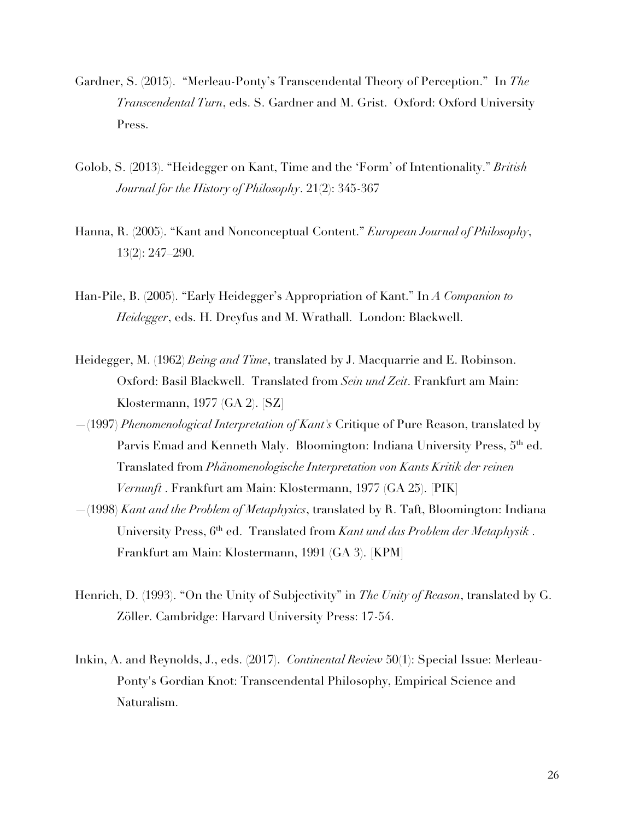- Gardner, S. (2015). "Merleau-Ponty's Transcendental Theory of Perception." In *The Transcendental Turn*, eds. S. Gardner and M. Grist. Oxford: Oxford University Press.
- Golob, S. (2013). "Heidegger on Kant, Time and the 'Form' of Intentionality." *British Journal for the History of Philosophy*. 21(2): 345-367
- Hanna, R. (2005). "Kant and Nonconceptual Content." *European Journal of Philosophy*, 13(2): 247–290.
- Han-Pile, B. (2005). "Early Heidegger's Appropriation of Kant." In *A Companion to Heidegger*, eds. H. Dreyfus and M. Wrathall. London: Blackwell.
- Heidegger, M. (1962) *Being and Time*, translated by J. Macquarrie and E. Robinson. Oxford: Basil Blackwell. Translated from *Sein und Zeit*. Frankfurt am Main: Klostermann, 1977 (GA 2). [SZ]
- —(1997) *Phenomenological Interpretation of Kant's* Critique of Pure Reason, translated by Parvis Emad and Kenneth Maly. Bloomington: Indiana University Press, 5<sup>th</sup> ed. Translated from *Phänomenologische Interpretation von Kants Kritik der reinen Vernunft* . Frankfurt am Main: Klostermann, 1977 (GA 25). [PIK]
- —(1998) *Kant and the Problem of Metaphysics*, translated by R. Taft, Bloomington: Indiana University Press, 6th ed. Translated from *Kant und das Problem der Metaphysik* . Frankfurt am Main: Klostermann, 1991 (GA 3). [KPM]
- Henrich, D. (1993). "On the Unity of Subjectivity" in *The Unity of Reason*, translated by G. Zöller. Cambridge: Harvard University Press: 17-54.
- Inkin, A. and Reynolds, J., eds. (2017). *Continental Review* 50(1): Special Issue: Merleau-Ponty's Gordian Knot: Transcendental Philosophy, Empirical Science and Naturalism.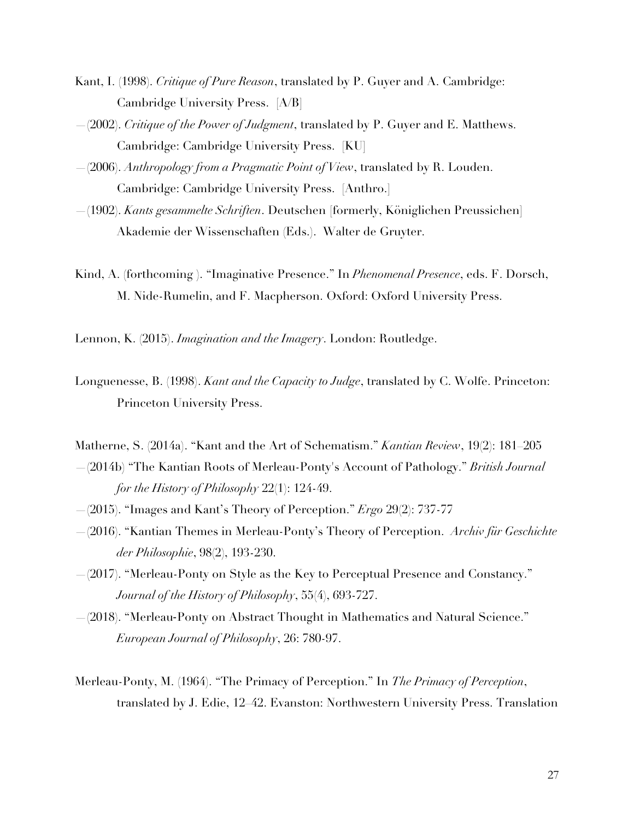- Kant, I. (1998). *Critique of Pure Reason*, translated by P. Guyer and A. Cambridge: Cambridge University Press. [A/B]
- —(2002). *Critique of the Power of Judgment*, translated by P. Guyer and E. Matthews. Cambridge: Cambridge University Press. [KU]
- —(2006). *Anthropology from a Pragmatic Point of View*, translated by R. Louden. Cambridge: Cambridge University Press. [Anthro.]
- —(1902). *Kants gesammelte Schriften*. Deutschen [formerly, Königlichen Preussichen] Akademie der Wissenschaften (Eds.). Walter de Gruyter.
- Kind, A. (forthcoming ). "Imaginative Presence." In *Phenomenal Presence*, eds. F. Dorsch, M. Nide-Rumelin, and F. Macpherson. Oxford: Oxford University Press.

Lennon, K. (2015). *Imagination and the Imagery*. London: Routledge.

- Longuenesse, B. (1998). *Kant and the Capacity to Judge*, translated by C. Wolfe. Princeton: Princeton University Press.
- Matherne, S. (2014a). "Kant and the Art of Schematism." *Kantian Review*, 19(2): 181–205
- —(2014b) "The Kantian Roots of Merleau-Ponty's Account of Pathology." *British Journal for the History of Philosophy* 22(1): 124-49.
- —(2015). "Images and Kant's Theory of Perception." *Ergo* 29(2): 737-77
- —(2016). "Kantian Themes in Merleau-Ponty's Theory of Perception. *Archiv für Geschichte der Philosophie*, 98(2), 193-230.
- —(2017). "Merleau-Ponty on Style as the Key to Perceptual Presence and Constancy." *Journal of the History of Philosophy*, 55(4), 693-727.

—(2018). "Merleau-Ponty on Abstract Thought in Mathematics and Natural Science." *European Journal of Philosophy*, 26: 780-97.

Merleau-Ponty, M. (1964). "The Primacy of Perception." In *The Primacy of Perception*, translated by J. Edie, 12–42. Evanston: Northwestern University Press. Translation